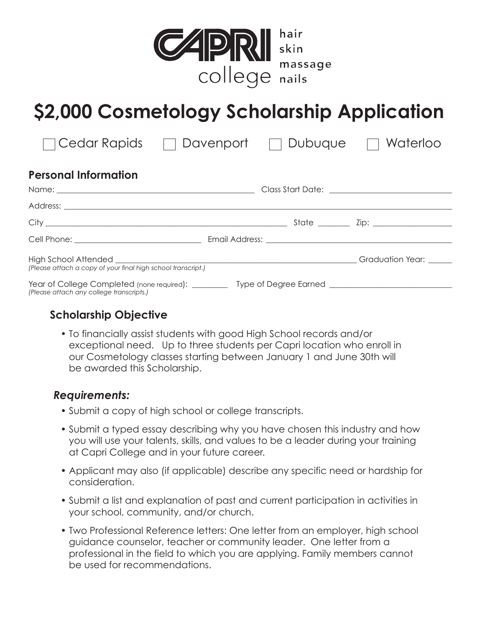

## **\$2,000 Cosmetology Scholarship Application**

| Cedar Rapids                                                                                                                                     | Davenport | Dubuque<br>$\sim$ | Waterloo         |
|--------------------------------------------------------------------------------------------------------------------------------------------------|-----------|-------------------|------------------|
| <b>Personal Information</b>                                                                                                                      |           |                   |                  |
|                                                                                                                                                  |           |                   |                  |
|                                                                                                                                                  |           |                   |                  |
|                                                                                                                                                  |           |                   |                  |
|                                                                                                                                                  |           |                   |                  |
| High School Attended Fight School Attended<br>(Please attach a copy of your final high school transcript.)                                       |           |                   | Graduation Year: |
| Year of College Completed (none required): __________ Type of Degree Earned ________________________<br>(Please attach any college transcripts.) |           |                   |                  |

### **Scholarship Objective**

• To financially assist students with good High School records and/or exceptional need. Up to three students per Capri location who enroll in our Cosmetology classes starting between January 1 and June 30th will be awarded this Scholarship.

### *Requirements:*

- Submit a copy of high school or college transcripts.
- Submit a typed essay describing why you have chosen this industry and how you will use your talents, skills, and values to be a leader during your training at Capri College and in your future career.
- Applicant may also (if applicable) describe any specific need or hardship for consideration.
- Submit a list and explanation of past and current participation in activities in your school, community, and/or church.
- Two Professional Reference letters: One letter from an employer, high school guidance counselor, teacher or community leader. One letter from a professional in the field to which you are applying. Family members cannot be used for recommendations.